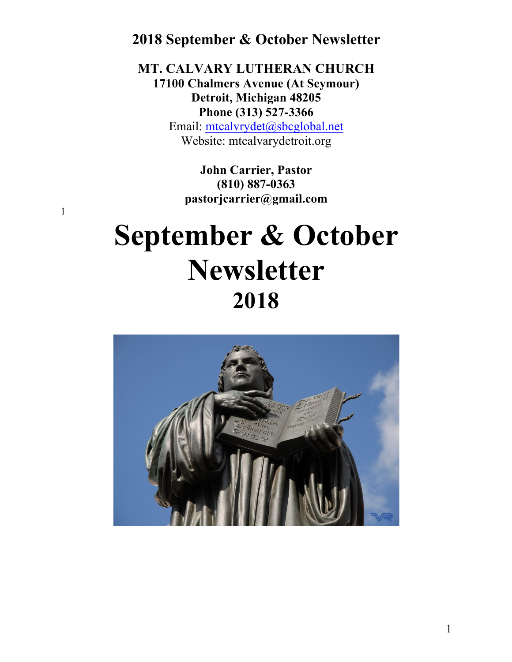**MT. CALVARY LUTHERAN CHURCH 17100 Chalmers Avenue (At Seymour) Detroit, Michigan 48205 Phone (313) 527-3366** Email: mtcalvrydet@sbcglobal.net Website: mtcalvarydetroit.org

> **John Carrier, Pastor (810) 887-0363 pastorjcarrier@gmail.com**

1

# **September & October Newsletter 2018**

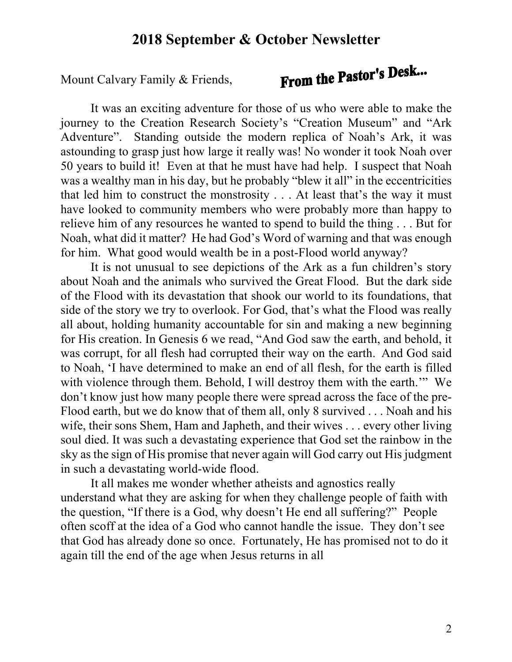Mount Calvary Family & Friends,

# From the Pastor's Desk...

It was an exciting adventure for those of us who were able to make the journey to the Creation Research Society's "Creation Museum" and "Ark Adventure". Standing outside the modern replica of Noah's Ark, it was astounding to grasp just how large it really was! No wonder it took Noah over 50 years to build it! Even at that he must have had help. I suspect that Noah was a wealthy man in his day, but he probably "blew it all" in the eccentricities that led him to construct the monstrosity . . . At least that's the way it must have looked to community members who were probably more than happy to relieve him of any resources he wanted to spend to build the thing . . . But for Noah, what did it matter? He had God's Word of warning and that was enough for him. What good would wealth be in a post-Flood world anyway?

It is not unusual to see depictions of the Ark as a fun children's story about Noah and the animals who survived the Great Flood. But the dark side of the Flood with its devastation that shook our world to its foundations, that side of the story we try to overlook. For God, that's what the Flood was really all about, holding humanity accountable for sin and making a new beginning for His creation. In Genesis 6 we read, "And God saw the earth, and behold, it was corrupt, for all flesh had corrupted their way on the earth. And God said to Noah, 'I have determined to make an end of all flesh, for the earth is filled with violence through them. Behold, I will destroy them with the earth.'" We don't know just how many people there were spread across the face of the pre-Flood earth, but we do know that of them all, only 8 survived . . . Noah and his wife, their sons Shem, Ham and Japheth, and their wives . . . every other living soul died. It was such a devastating experience that God set the rainbow in the sky as the sign of His promise that never again will God carry out His judgment in such a devastating world-wide flood.

It all makes me wonder whether atheists and agnostics really understand what they are asking for when they challenge people of faith with the question, "If there is a God, why doesn't He end all suffering?" People often scoff at the idea of a God who cannot handle the issue. They don't see that God has already done so once. Fortunately, He has promised not to do it again till the end of the age when Jesus returns in all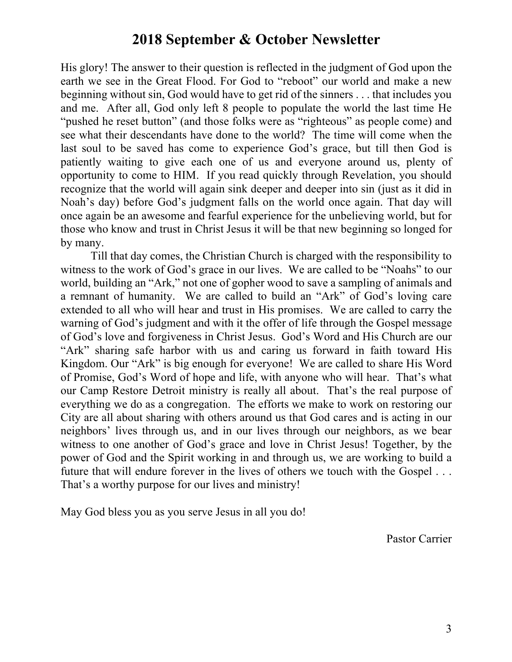His glory! The answer to their question is reflected in the judgment of God upon the earth we see in the Great Flood. For God to "reboot" our world and make a new beginning without sin, God would have to get rid of the sinners . . . that includes you and me. After all, God only left 8 people to populate the world the last time He "pushed he reset button" (and those folks were as "righteous" as people come) and see what their descendants have done to the world? The time will come when the last soul to be saved has come to experience God's grace, but till then God is patiently waiting to give each one of us and everyone around us, plenty of opportunity to come to HIM. If you read quickly through Revelation, you should recognize that the world will again sink deeper and deeper into sin (just as it did in Noah's day) before God's judgment falls on the world once again. That day will once again be an awesome and fearful experience for the unbelieving world, but for those who know and trust in Christ Jesus it will be that new beginning so longed for by many.

Till that day comes, the Christian Church is charged with the responsibility to witness to the work of God's grace in our lives. We are called to be "Noahs" to our world, building an "Ark," not one of gopher wood to save a sampling of animals and a remnant of humanity. We are called to build an "Ark" of God's loving care extended to all who will hear and trust in His promises. We are called to carry the warning of God's judgment and with it the offer of life through the Gospel message of God's love and forgiveness in Christ Jesus. God's Word and His Church are our "Ark" sharing safe harbor with us and caring us forward in faith toward His Kingdom. Our "Ark" is big enough for everyone! We are called to share His Word of Promise, God's Word of hope and life, with anyone who will hear. That's what our Camp Restore Detroit ministry is really all about. That's the real purpose of everything we do as a congregation. The efforts we make to work on restoring our City are all about sharing with others around us that God cares and is acting in our neighbors' lives through us, and in our lives through our neighbors, as we bear witness to one another of God's grace and love in Christ Jesus! Together, by the power of God and the Spirit working in and through us, we are working to build a future that will endure forever in the lives of others we touch with the Gospel . . . That's a worthy purpose for our lives and ministry!

May God bless you as you serve Jesus in all you do!

Pastor Carrier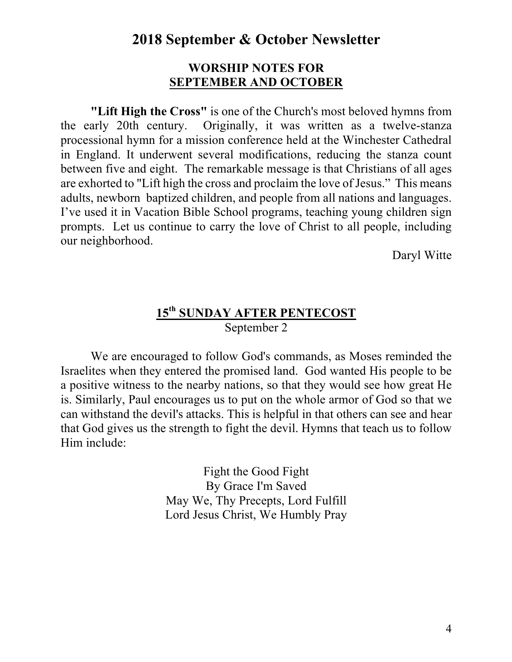#### **WORSHIP NOTES FOR SEPTEMBER AND OCTOBER**

**"Lift High the Cross"** is one of the Church's most beloved hymns from the early 20th century. Originally, it was written as a twelve-stanza processional hymn for a mission conference held at the Winchester Cathedral in England. It underwent several modifications, reducing the stanza count between five and eight. The remarkable message is that Christians of all ages are exhorted to "Lift high the cross and proclaim the love of Jesus." This means adults, newborn baptized children, and people from all nations and languages. I've used it in Vacation Bible School programs, teaching young children sign prompts. Let us continue to carry the love of Christ to all people, including our neighborhood.

Daryl Witte

## **15th SUNDAY AFTER PENTECOST** September 2

We are encouraged to follow God's commands, as Moses reminded the Israelites when they entered the promised land. God wanted His people to be a positive witness to the nearby nations, so that they would see how great He is. Similarly, Paul encourages us to put on the whole armor of God so that we can withstand the devil's attacks. This is helpful in that others can see and hear that God gives us the strength to fight the devil. Hymns that teach us to follow Him include:

> Fight the Good Fight By Grace I'm Saved May We, Thy Precepts, Lord Fulfill Lord Jesus Christ, We Humbly Pray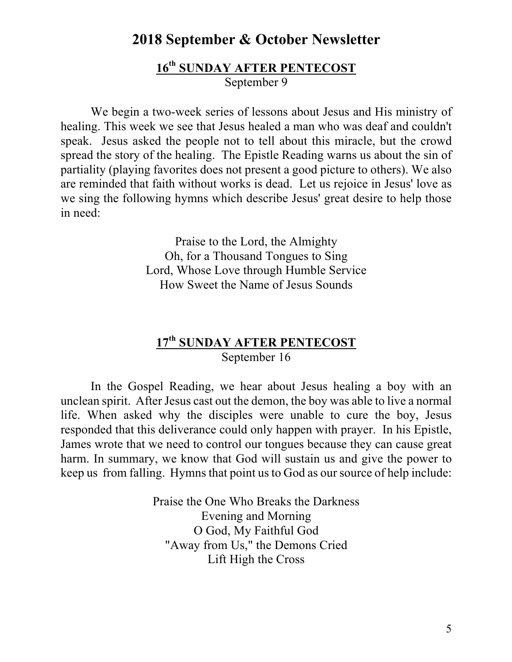#### **16th SUNDAY AFTER PENTECOST** September 9

We begin a two-week series of lessons about Jesus and His ministry of healing. This week we see that Jesus healed a man who was deaf and couldn't speak. Jesus asked the people not to tell about this miracle, but the crowd spread the story of the healing. The Epistle Reading warns us about the sin of partiality (playing favorites does not present a good picture to others). We also are reminded that faith without works is dead. Let us rejoice in Jesus' love as we sing the following hymns which describe Jesus' great desire to help those in need:

> Praise to the Lord, the Almighty Oh, for a Thousand Tongues to Sing Lord, Whose Love through Humble Service How Sweet the Name of Jesus Sounds

## **17th SUNDAY AFTER PENTECOST** September 16

In the Gospel Reading, we hear about Jesus healing a boy with an unclean spirit. After Jesus cast out the demon, the boy was able to live a normal life. When asked why the disciples were unable to cure the boy, Jesus responded that this deliverance could only happen with prayer. In his Epistle, James wrote that we need to control our tongues because they can cause great harm. In summary, we know that God will sustain us and give the power to keep us from falling. Hymns that point us to God as our source of help include:

> Praise the One Who Breaks the Darkness Evening and Morning O God, My Faithful God "Away from Us," the Demons Cried Lift High the Cross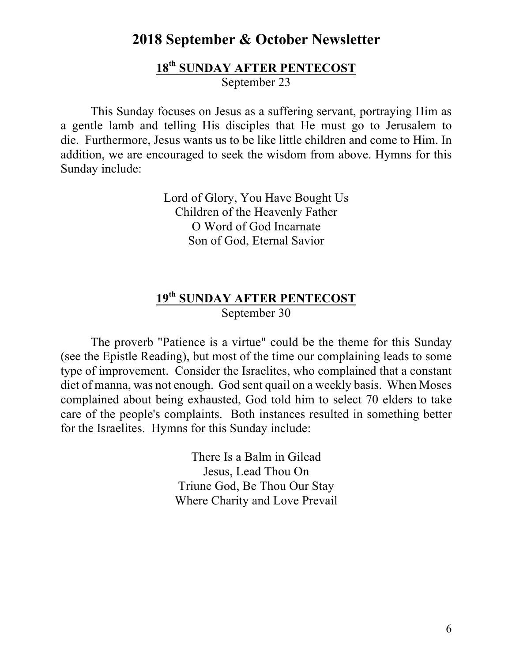#### **18th SUNDAY AFTER PENTECOST** September 23

This Sunday focuses on Jesus as a suffering servant, portraying Him as a gentle lamb and telling His disciples that He must go to Jerusalem to die. Furthermore, Jesus wants us to be like little children and come to Him. In addition, we are encouraged to seek the wisdom from above. Hymns for this Sunday include:

> Lord of Glory, You Have Bought Us Children of the Heavenly Father O Word of God Incarnate Son of God, Eternal Savior

## **19th SUNDAY AFTER PENTECOST** September 30

The proverb "Patience is a virtue" could be the theme for this Sunday (see the Epistle Reading), but most of the time our complaining leads to some type of improvement. Consider the Israelites, who complained that a constant diet of manna, was not enough. God sent quail on a weekly basis. When Moses complained about being exhausted, God told him to select 70 elders to take care of the people's complaints. Both instances resulted in something better for the Israelites. Hymns for this Sunday include:

> There Is a Balm in Gilead Jesus, Lead Thou On Triune God, Be Thou Our Stay Where Charity and Love Prevail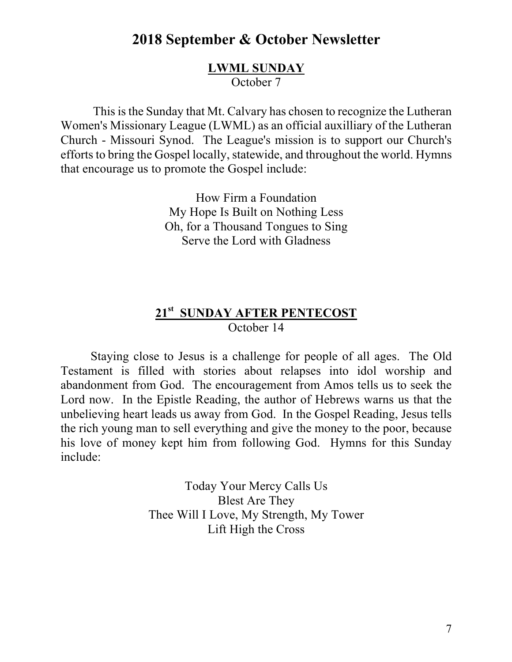#### **LWML SUNDAY** October 7

This is the Sunday that Mt. Calvary has chosen to recognize the Lutheran Women's Missionary League (LWML) as an official auxilliary of the Lutheran Church - Missouri Synod. The League's mission is to support our Church's efforts to bring the Gospel locally, statewide, and throughout the world. Hymns that encourage us to promote the Gospel include:

> How Firm a Foundation My Hope Is Built on Nothing Less Oh, for a Thousand Tongues to Sing Serve the Lord with Gladness

## **21st SUNDAY AFTER PENTECOST** October 14

Staying close to Jesus is a challenge for people of all ages. The Old Testament is filled with stories about relapses into idol worship and abandonment from God. The encouragement from Amos tells us to seek the Lord now. In the Epistle Reading, the author of Hebrews warns us that the unbelieving heart leads us away from God. In the Gospel Reading, Jesus tells the rich young man to sell everything and give the money to the poor, because his love of money kept him from following God. Hymns for this Sunday include:

> Today Your Mercy Calls Us Blest Are They Thee Will I Love, My Strength, My Tower Lift High the Cross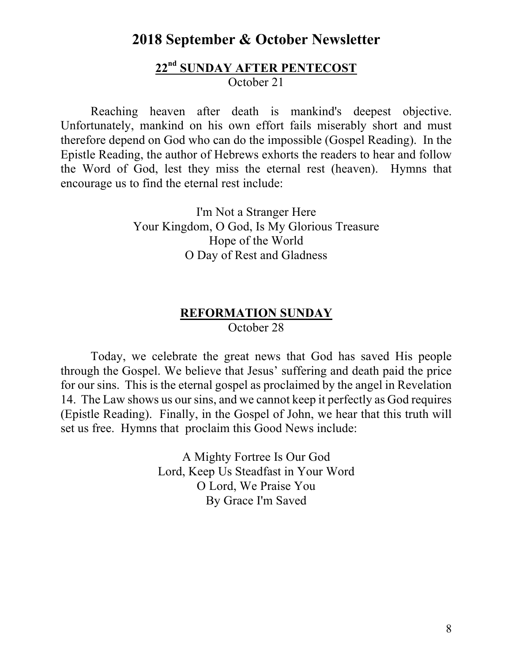#### **22nd SUNDAY AFTER PENTECOST** October 21

Reaching heaven after death is mankind's deepest objective. Unfortunately, mankind on his own effort fails miserably short and must therefore depend on God who can do the impossible (Gospel Reading). In the Epistle Reading, the author of Hebrews exhorts the readers to hear and follow the Word of God, lest they miss the eternal rest (heaven). Hymns that encourage us to find the eternal rest include:

> I'm Not a Stranger Here Your Kingdom, O God, Is My Glorious Treasure Hope of the World O Day of Rest and Gladness

#### **REFORMATION SUNDAY** October 28

Today, we celebrate the great news that God has saved His people through the Gospel. We believe that Jesus' suffering and death paid the price for our sins. This is the eternal gospel as proclaimed by the angel in Revelation 14. The Law shows us our sins, and we cannot keep it perfectly as God requires (Epistle Reading). Finally, in the Gospel of John, we hear that this truth will set us free. Hymns that proclaim this Good News include:

> A Mighty Fortree Is Our God Lord, Keep Us Steadfast in Your Word O Lord, We Praise You By Grace I'm Saved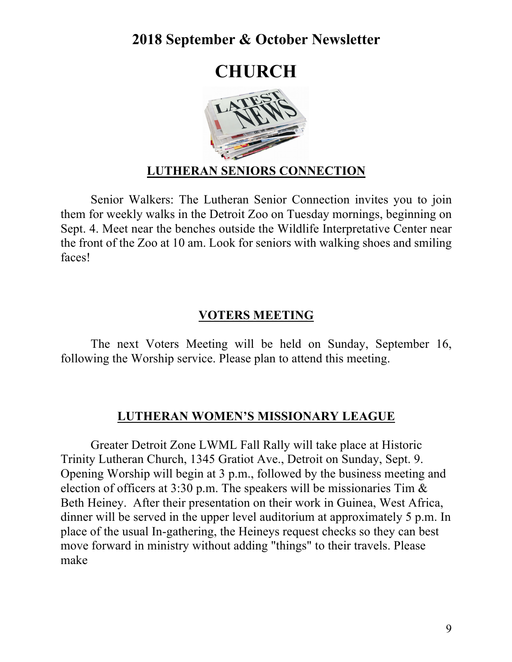# **CHURCH**



## **LUTHERAN SENIORS CONNECTION**

Senior Walkers: The Lutheran Senior Connection invites you to join them for weekly walks in the Detroit Zoo on Tuesday mornings, beginning on Sept. 4. Meet near the benches outside the Wildlife Interpretative Center near the front of the Zoo at 10 am. Look for seniors with walking shoes and smiling faces!

### **VOTERS MEETING**

The next Voters Meeting will be held on Sunday, September 16, following the Worship service. Please plan to attend this meeting.

#### **LUTHERAN WOMEN'S MISSIONARY LEAGUE**

Greater Detroit Zone LWML Fall Rally will take place at Historic Trinity Lutheran Church, 1345 Gratiot Ave., Detroit on Sunday, Sept. 9. Opening Worship will begin at 3 p.m., followed by the business meeting and election of officers at 3:30 p.m. The speakers will be missionaries Tim & Beth Heiney. After their presentation on their work in Guinea, West Africa, dinner will be served in the upper level auditorium at approximately 5 p.m. In place of the usual In-gathering, the Heineys request checks so they can best move forward in ministry without adding "things" to their travels. Please make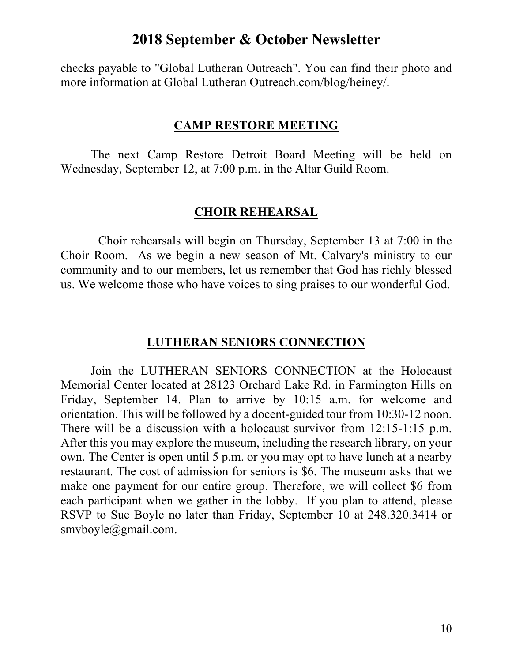checks payable to "Global Lutheran Outreach". You can find their photo and more information at Global Lutheran Outreach.com/blog/heiney/.

#### **CAMP RESTORE MEETING**

The next Camp Restore Detroit Board Meeting will be held on Wednesday, September 12, at 7:00 p.m. in the Altar Guild Room.

#### **CHOIR REHEARSAL**

Choir rehearsals will begin on Thursday, September 13 at 7:00 in the Choir Room. As we begin a new season of Mt. Calvary's ministry to our community and to our members, let us remember that God has richly blessed us. We welcome those who have voices to sing praises to our wonderful God.

#### **LUTHERAN SENIORS CONNECTION**

Join the LUTHERAN SENIORS CONNECTION at the Holocaust Memorial Center located at 28123 Orchard Lake Rd. in Farmington Hills on Friday, September 14. Plan to arrive by 10:15 a.m. for welcome and orientation. This will be followed by a docent-guided tour from 10:30-12 noon. There will be a discussion with a holocaust survivor from 12:15-1:15 p.m. After this you may explore the museum, including the research library, on your own. The Center is open until 5 p.m. or you may opt to have lunch at a nearby restaurant. The cost of admission for seniors is \$6. The museum asks that we make one payment for our entire group. Therefore, we will collect \$6 from each participant when we gather in the lobby. If you plan to attend, please RSVP to Sue Boyle no later than Friday, September 10 at 248.320.3414 or smvboyle@gmail.com.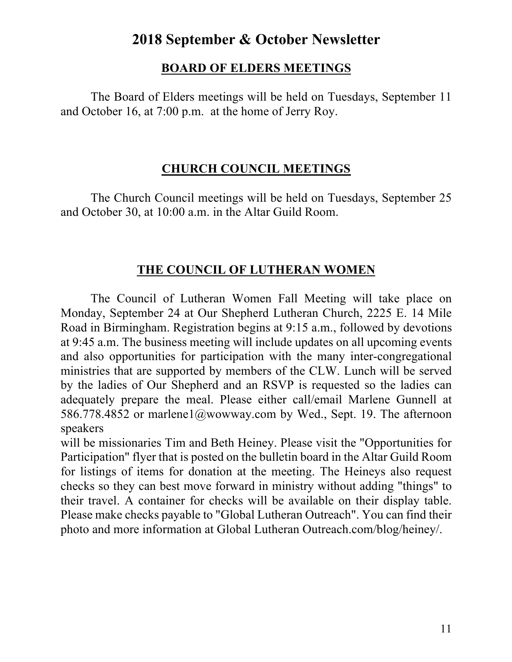### **BOARD OF ELDERS MEETINGS**

The Board of Elders meetings will be held on Tuesdays, September 11 and October 16, at 7:00 p.m. at the home of Jerry Roy.

## **CHURCH COUNCIL MEETINGS**

The Church Council meetings will be held on Tuesdays, September 25 and October 30, at 10:00 a.m. in the Altar Guild Room.

## **THE COUNCIL OF LUTHERAN WOMEN**

The Council of Lutheran Women Fall Meeting will take place on Monday, September 24 at Our Shepherd Lutheran Church, 2225 E. 14 Mile Road in Birmingham. Registration begins at 9:15 a.m., followed by devotions at 9:45 a.m. The business meeting will include updates on all upcoming events and also opportunities for participation with the many inter-congregational ministries that are supported by members of the CLW. Lunch will be served by the ladies of Our Shepherd and an RSVP is requested so the ladies can adequately prepare the meal. Please either call/email Marlene Gunnell at 586.778.4852 or marlene1@wowway.com by Wed., Sept. 19. The afternoon speakers

will be missionaries Tim and Beth Heiney. Please visit the "Opportunities for Participation" flyer that is posted on the bulletin board in the Altar Guild Room for listings of items for donation at the meeting. The Heineys also request checks so they can best move forward in ministry without adding "things" to their travel. A container for checks will be available on their display table. Please make checks payable to "Global Lutheran Outreach". You can find their photo and more information at Global Lutheran Outreach.com/blog/heiney/.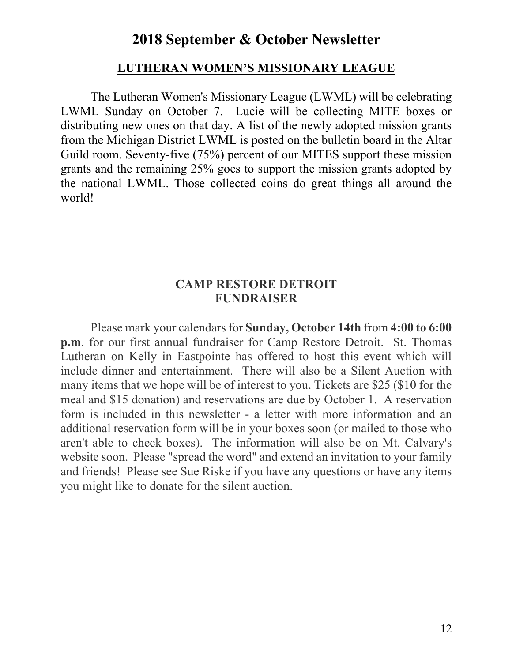#### **LUTHERAN WOMEN'S MISSIONARY LEAGUE**

The Lutheran Women's Missionary League (LWML) will be celebrating LWML Sunday on October 7. Lucie will be collecting MITE boxes or distributing new ones on that day. A list of the newly adopted mission grants from the Michigan District LWML is posted on the bulletin board in the Altar Guild room. Seventy-five (75%) percent of our MITES support these mission grants and the remaining 25% goes to support the mission grants adopted by the national LWML. Those collected coins do great things all around the world!

#### **CAMP RESTORE DETROIT FUNDRAISER**

Please mark your calendars for **Sunday, October 14th** from **4:00 to 6:00 p.m**. for our first annual fundraiser for Camp Restore Detroit. St. Thomas Lutheran on Kelly in Eastpointe has offered to host this event which will include dinner and entertainment. There will also be a Silent Auction with many items that we hope will be of interest to you. Tickets are \$25 (\$10 for the meal and \$15 donation) and reservations are due by October 1. A reservation form is included in this newsletter - a letter with more information and an additional reservation form will be in your boxes soon (or mailed to those who aren't able to check boxes). The information will also be on Mt. Calvary's website soon. Please "spread the word" and extend an invitation to your family and friends! Please see Sue Riske if you have any questions or have any items you might like to donate for the silent auction.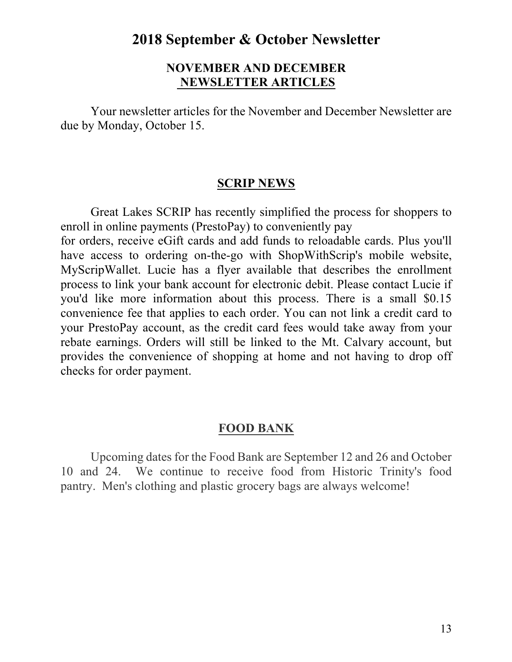#### **NOVEMBER AND DECEMBER NEWSLETTER ARTICLES**

Your newsletter articles for the November and December Newsletter are due by Monday, October 15.

#### **SCRIP NEWS**

Great Lakes SCRIP has recently simplified the process for shoppers to enroll in online payments (PrestoPay) to conveniently pay for orders, receive eGift cards and add funds to reloadable cards. Plus you'll have access to ordering on-the-go with ShopWithScrip's mobile website, MyScripWallet. Lucie has a flyer available that describes the enrollment

process to link your bank account for electronic debit. Please contact Lucie if you'd like more information about this process. There is a small \$0.15 convenience fee that applies to each order. You can not link a credit card to your PrestoPay account, as the credit card fees would take away from your rebate earnings. Orders will still be linked to the Mt. Calvary account, but provides the convenience of shopping at home and not having to drop off checks for order payment.

#### **FOOD BANK**

Upcoming dates for the Food Bank are September 12 and 26 and October 10 and 24. We continue to receive food from Historic Trinity's food pantry. Men's clothing and plastic grocery bags are always welcome!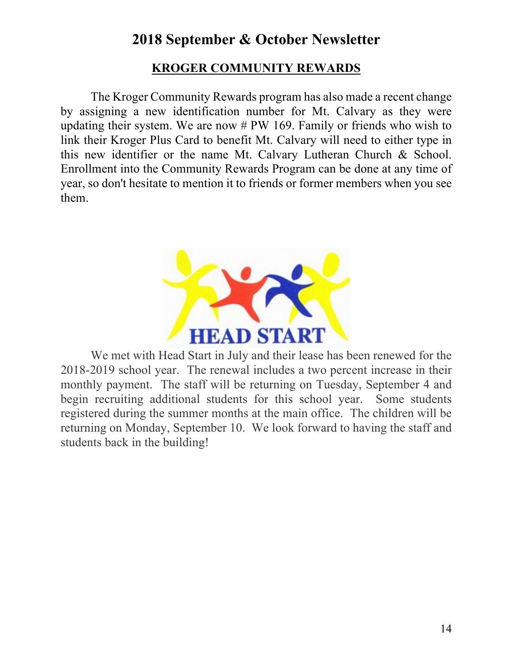## **KROGER COMMUNITY REWARDS**

The Kroger Community Rewards program has also made a recent change by assigning a new identification number for Mt. Calvary as they were updating their system. We are now # PW 169. Family or friends who wish to link their Kroger Plus Card to benefit Mt. Calvary will need to either type in this new identifier or the name Mt. Calvary Lutheran Church & School. Enrollment into the Community Rewards Program can be done at any time of year, so don't hesitate to mention it to friends or former members when you see them.



We met with Head Start in July and their lease has been renewed for the 2018-2019 school year. The renewal includes a two percent increase in their monthly payment. The staff will be returning on Tuesday, September 4 and begin recruiting additional students for this school year. Some students registered during the summer months at the main office. The children will be returning on Monday, September 10. We look forward to having the staff and students back in the building!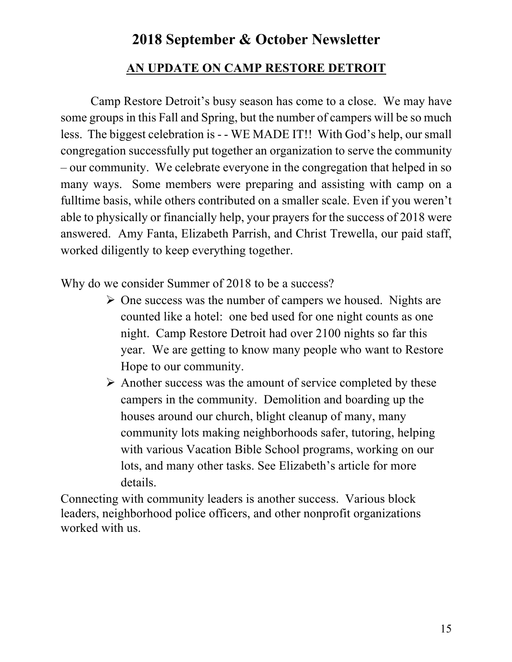## **AN UPDATE ON CAMP RESTORE DETROIT**

Camp Restore Detroit's busy season has come to a close. We may have some groups in this Fall and Spring, but the number of campers will be so much less. The biggest celebration is - - WE MADE IT!! With God's help, our small congregation successfully put together an organization to serve the community – our community. We celebrate everyone in the congregation that helped in so many ways. Some members were preparing and assisting with camp on a fulltime basis, while others contributed on a smaller scale. Even if you weren't able to physically or financially help, your prayers for the success of 2018 were answered. Amy Fanta, Elizabeth Parrish, and Christ Trewella, our paid staff, worked diligently to keep everything together.

Why do we consider Summer of 2018 to be a success?

- $\triangleright$  One success was the number of campers we housed. Nights are counted like a hotel: one bed used for one night counts as one night. Camp Restore Detroit had over 2100 nights so far this year. We are getting to know many people who want to Restore Hope to our community.
- $\triangleright$  Another success was the amount of service completed by these campers in the community. Demolition and boarding up the houses around our church, blight cleanup of many, many community lots making neighborhoods safer, tutoring, helping with various Vacation Bible School programs, working on our lots, and many other tasks. See Elizabeth's article for more details.

Connecting with community leaders is another success. Various block leaders, neighborhood police officers, and other nonprofit organizations worked with us.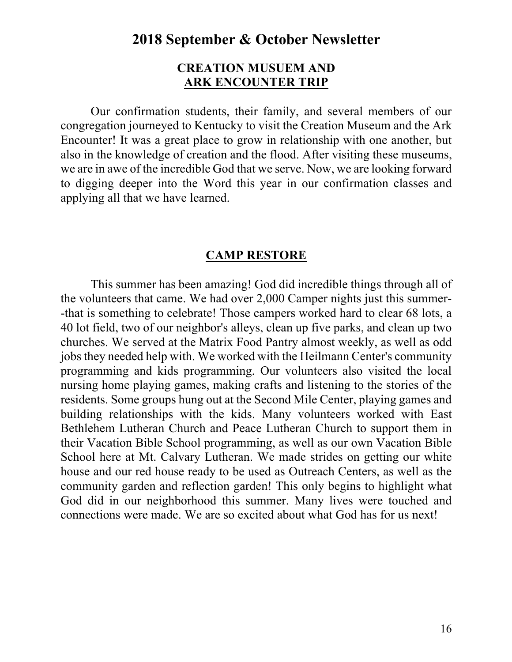#### **CREATION MUSUEM AND ARK ENCOUNTER TRIP**

Our confirmation students, their family, and several members of our congregation journeyed to Kentucky to visit the Creation Museum and the Ark Encounter! It was a great place to grow in relationship with one another, but also in the knowledge of creation and the flood. After visiting these museums, we are in awe of the incredible God that we serve. Now, we are looking forward to digging deeper into the Word this year in our confirmation classes and applying all that we have learned.

#### **CAMP RESTORE**

This summer has been amazing! God did incredible things through all of the volunteers that came. We had over 2,000 Camper nights just this summer- -that is something to celebrate! Those campers worked hard to clear 68 lots, a 40 lot field, two of our neighbor's alleys, clean up five parks, and clean up two churches. We served at the Matrix Food Pantry almost weekly, as well as odd jobs they needed help with. We worked with the Heilmann Center's community programming and kids programming. Our volunteers also visited the local nursing home playing games, making crafts and listening to the stories of the residents. Some groups hung out at the Second Mile Center, playing games and building relationships with the kids. Many volunteers worked with East Bethlehem Lutheran Church and Peace Lutheran Church to support them in their Vacation Bible School programming, as well as our own Vacation Bible School here at Mt. Calvary Lutheran. We made strides on getting our white house and our red house ready to be used as Outreach Centers, as well as the community garden and reflection garden! This only begins to highlight what God did in our neighborhood this summer. Many lives were touched and connections were made. We are so excited about what God has for us next!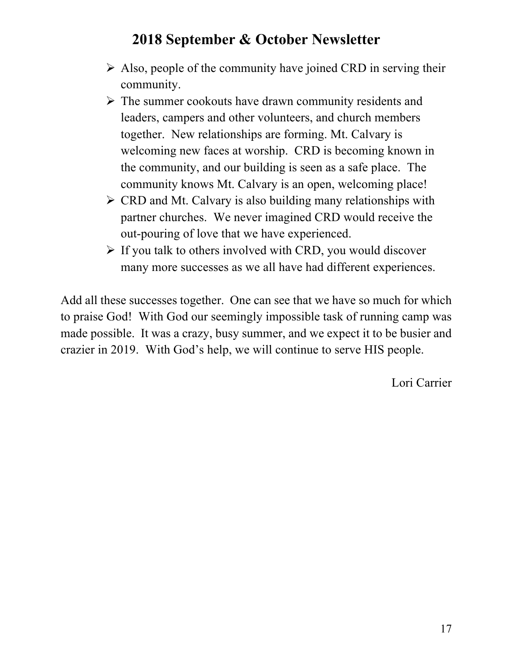- $\triangleright$  Also, people of the community have joined CRD in serving their community.
- $\triangleright$  The summer cookouts have drawn community residents and leaders, campers and other volunteers, and church members together. New relationships are forming. Mt. Calvary is welcoming new faces at worship. CRD is becoming known in the community, and our building is seen as a safe place. The community knows Mt. Calvary is an open, welcoming place!
- $\triangleright$  CRD and Mt. Calvary is also building many relationships with partner churches. We never imagined CRD would receive the out-pouring of love that we have experienced.
- $\triangleright$  If you talk to others involved with CRD, you would discover many more successes as we all have had different experiences.

Add all these successes together. One can see that we have so much for which to praise God! With God our seemingly impossible task of running camp was made possible. It was a crazy, busy summer, and we expect it to be busier and crazier in 2019. With God's help, we will continue to serve HIS people.

Lori Carrier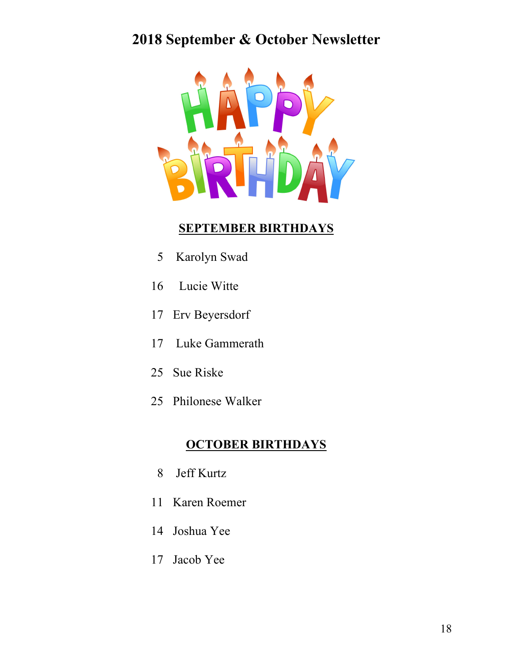

### **SEPTEMBER BIRTHDAYS**

- 5 Karolyn Swad
- 16 Lucie Witte
- 17 Erv Beyersdorf
- 17 Luke Gammerath
- 25 Sue Riske
- 25 Philonese Walker

#### **OCTOBER BIRTHDAYS**

- 8 Jeff Kurtz
- 11 Karen Roemer
- 14 Joshua Yee
- 17 Jacob Yee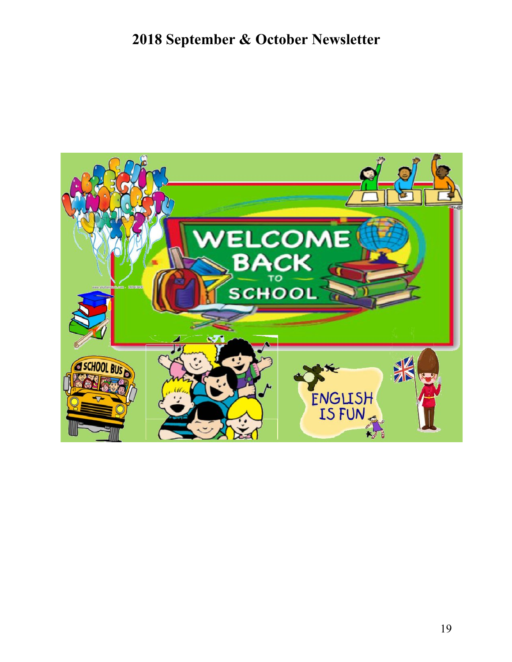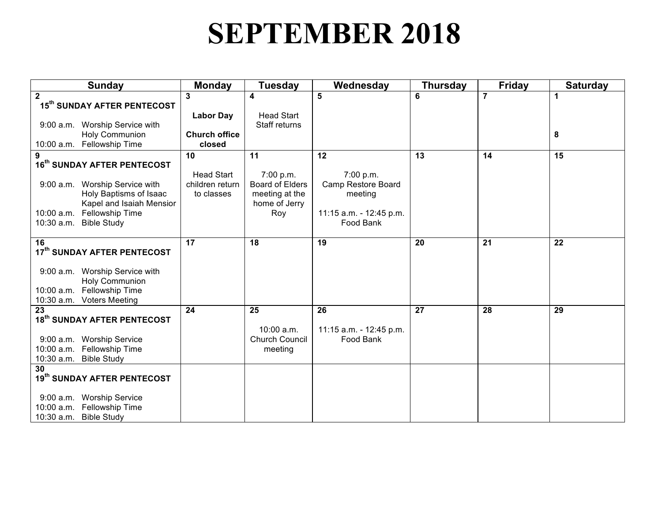# **SEPTEMBER 2018**

| Sunday                                                   | <b>Monday</b>        | Tuesday                             | Wednesday                       | <b>Thursday</b> | <b>Friday</b>  | <b>Saturday</b> |
|----------------------------------------------------------|----------------------|-------------------------------------|---------------------------------|-----------------|----------------|-----------------|
| $\overline{2}$                                           | 3                    | 4                                   | $\overline{5}$                  | 6               | $\overline{7}$ | 1               |
| 15 <sup>th</sup> SUNDAY AFTER PENTECOST                  |                      |                                     |                                 |                 |                |                 |
|                                                          | <b>Labor Day</b>     | <b>Head Start</b>                   |                                 |                 |                |                 |
| 9:00 a.m. Worship Service with                           |                      | Staff returns                       |                                 |                 |                |                 |
| <b>Holy Communion</b>                                    | <b>Church office</b> |                                     |                                 |                 |                | 8               |
| 10:00 a.m. Fellowship Time                               | closed               |                                     |                                 |                 |                |                 |
| 9                                                        | 10                   | 11                                  | 12                              | 13              | 14             | 15              |
| 16 <sup>th</sup> SUNDAY AFTER PENTECOST                  | <b>Head Start</b>    |                                     |                                 |                 |                |                 |
|                                                          | children return      | 7:00 p.m.<br><b>Board of Elders</b> | 7:00 p.m.<br>Camp Restore Board |                 |                |                 |
| 9:00 a.m. Worship Service with<br>Holy Baptisms of Isaac | to classes           | meeting at the                      | meeting                         |                 |                |                 |
| Kapel and Isaiah Mensior                                 |                      | home of Jerry                       |                                 |                 |                |                 |
| 10:00 a.m. Fellowship Time                               |                      | Roy                                 | 11:15 a.m. - 12:45 p.m.         |                 |                |                 |
| 10:30 a.m. Bible Study                                   |                      |                                     | Food Bank                       |                 |                |                 |
|                                                          |                      |                                     |                                 |                 |                |                 |
| 16                                                       | 17                   | 18                                  | 19                              | 20              | 21             | 22              |
| 17th SUNDAY AFTER PENTECOST                              |                      |                                     |                                 |                 |                |                 |
|                                                          |                      |                                     |                                 |                 |                |                 |
| 9:00 a.m. Worship Service with                           |                      |                                     |                                 |                 |                |                 |
| <b>Holy Communion</b>                                    |                      |                                     |                                 |                 |                |                 |
| 10:00 a.m. Fellowship Time                               |                      |                                     |                                 |                 |                |                 |
| 10:30 a.m. Voters Meeting                                |                      |                                     |                                 |                 |                |                 |
| 23<br>18 <sup>th</sup> SUNDAY AFTER PENTECOST            | 24                   | 25                                  | 26                              | 27              | 28             | 29              |
|                                                          |                      | $10:00$ a.m.                        | 11:15 a.m. - 12:45 p.m.         |                 |                |                 |
| 9:00 a.m. Worship Service                                |                      | <b>Church Council</b>               | Food Bank                       |                 |                |                 |
| 10:00 a.m. Fellowship Time                               |                      | meeting                             |                                 |                 |                |                 |
| 10:30 a.m. Bible Study                                   |                      |                                     |                                 |                 |                |                 |
| 30                                                       |                      |                                     |                                 |                 |                |                 |
| 19th SUNDAY AFTER PENTECOST                              |                      |                                     |                                 |                 |                |                 |
|                                                          |                      |                                     |                                 |                 |                |                 |
| 9:00 a.m. Worship Service                                |                      |                                     |                                 |                 |                |                 |
| 10:00 a.m. Fellowship Time                               |                      |                                     |                                 |                 |                |                 |
| 10:30 a.m. Bible Study                                   |                      |                                     |                                 |                 |                |                 |